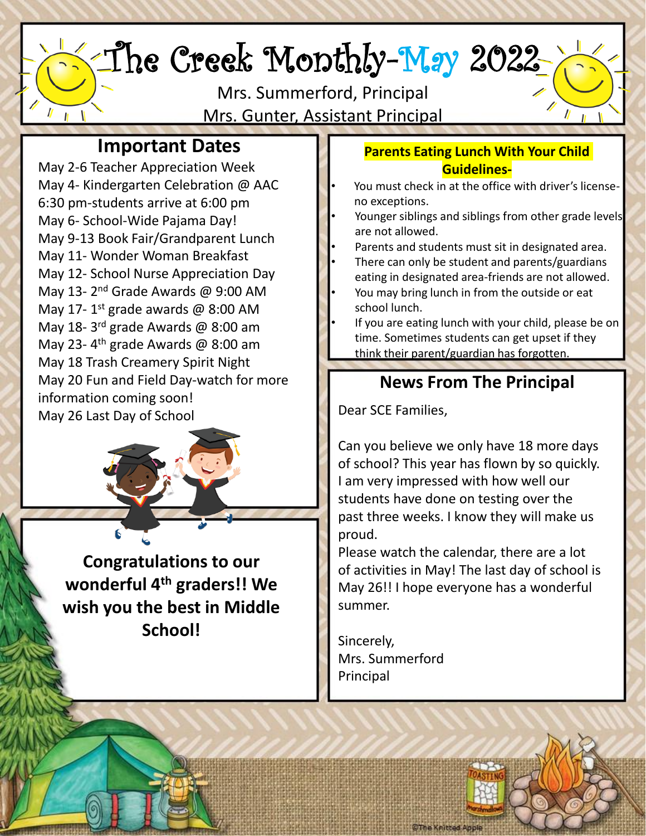# The Creek Monthly-May 2022

Mrs. Summerford, Principal Mrs. Gunter, Assistant Principal

## **Important Dates**

May 2-6 Teacher Appreciation Week May 4- Kindergarten Celebration @ AAC 6:30 pm-students arrive at 6:00 pm May 6- School-Wide Pajama Day! May 9-13 Book Fair/Grandparent Lunch May 11- Wonder Woman Breakfast May 12- School Nurse Appreciation Day May 13-2<sup>nd</sup> Grade Awards @ 9:00 AM May 17-1<sup>st</sup> grade awards @ 8:00 AM May 18-3<sup>rd</sup> grade Awards @ 8:00 am May 23-4<sup>th</sup> grade Awards @ 8:00 am May 18 Trash Creamery Spirit Night May 20 Fun and Field Day-watch for more information coming soon! May 26 Last Day of School

**Congratulations to our wonderful 4th graders!! We wish you the best in Middle School!**

#### **Parents Eating Lunch With Your Child Guidelines-**

- You must check in at the office with driver's licenseno exceptions.
- Younger siblings and siblings from other grade levels are not allowed.
- Parents and students must sit in designated area.
- There can only be student and parents/guardians eating in designated area-friends are not allowed.
- You may bring lunch in from the outside or eat school lunch.
- If you are eating lunch with your child, please be on time. Sometimes students can get upset if they think their parent/guardian has forgotten.

## **News From The Principal**

Dear SCE Families,

Can you believe we only have 18 more days of school? This year has flown by so quickly. I am very impressed with how well our students have done on testing over the past three weeks. I know they will make us proud.

Please watch the calendar, there are a lot of activities in May! The last day of school is May 26!! I hope everyone has a wonderful summer.

Sincerely, Mrs. Summerford Principal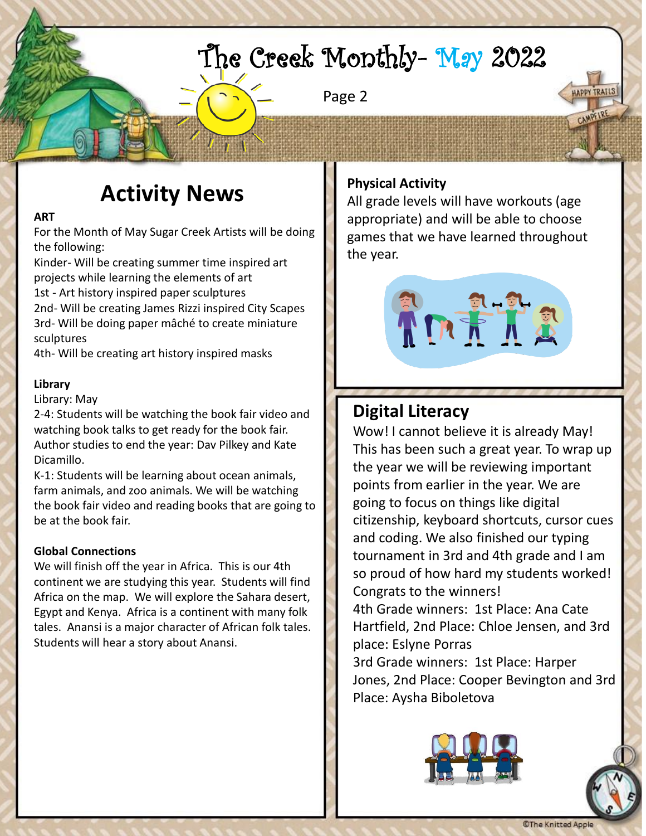## The Creek Monthly- May 2022

Page 2

## **Activity News**

#### **ART**

For the Month of May Sugar Creek Artists will be doing the following:

Kinder- Will be creating summer time inspired art projects while learning the elements of art 1st - Art history inspired paper sculptures 2nd- Will be creating James Rizzi inspired City Scapes 3rd- Will be doing paper mâché to create miniature sculptures

4th- Will be creating art history inspired masks

#### **Library**

#### Library: May

2-4: Students will be watching the book fair video and watching book talks to get ready for the book fair. Author studies to end the year: Dav Pilkey and Kate Dicamillo.

K-1: Students will be learning about ocean animals, farm animals, and zoo animals. We will be watching the book fair video and reading books that are going to be at the book fair.

#### **Global Connections**

We will finish off the year in Africa. This is our 4th continent we are studying this year. Students will find Africa on the map. We will explore the Sahara desert, Egypt and Kenya. Africa is a continent with many folk tales. Anansi is a major character of African folk tales. Students will hear a story about Anansi.

### **Physical Activity**

All grade levels will have workouts (age appropriate) and will be able to choose games that we have learned throughout the year.



## **Digital Literacy**

Wow! I cannot believe it is already May! This has been such a great year. To wrap up the year we will be reviewing important points from earlier in the year. We are going to focus on things like digital citizenship, keyboard shortcuts, cursor cues and coding. We also finished our typing tournament in 3rd and 4th grade and I am so proud of how hard my students worked! Congrats to the winners! 4th Grade winners: 1st Place: Ana Cate Hartfield, 2nd Place: Chloe Jensen, and 3rd place: Eslyne Porras 3rd Grade winners: 1st Place: Harper Jones, 2nd Place: Cooper Bevington and 3rd



Place: Aysha Biboletova